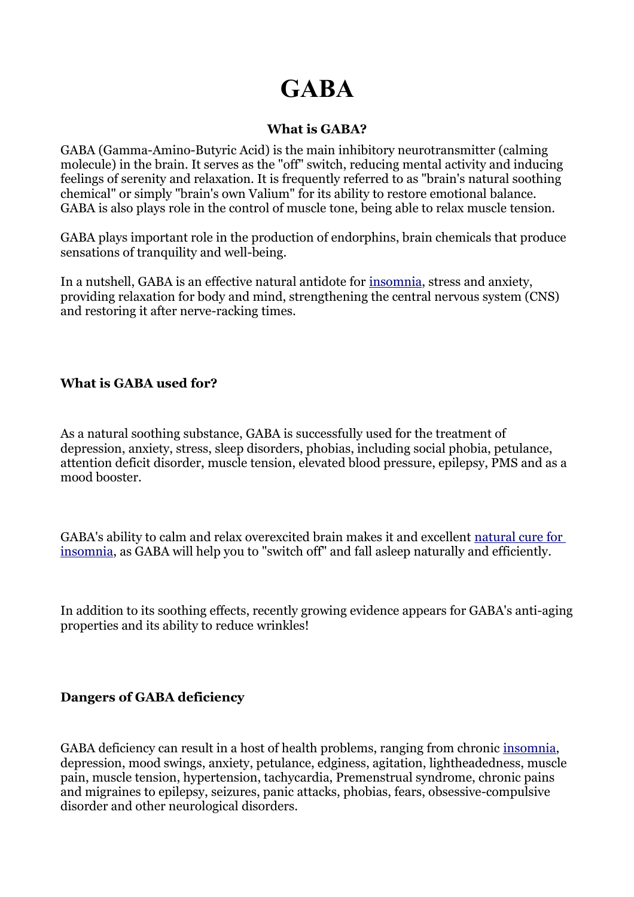# **GABA**

## **What is GABA?**

GABA (Gamma-Amino-Butyric Acid) is the main inhibitory neurotransmitter (calming molecule) in the brain. It serves as the "off" switch, reducing mental activity and inducing feelings of serenity and relaxation. It is frequently referred to as "brain's natural soothing chemical" or simply "brain's own Valium" for its ability to restore emotional balance. GABA is also plays role in the control of muscle tone, being able to relax muscle tension.

GABA plays important role in the production of endorphins, brain chemicals that produce sensations of tranquility and well-being.

In a nutshell, GABA is an effective natural antidote for [insomnia,](http://www.insomnia-herbal.com/) stress and anxiety, providing relaxation for body and mind, strengthening the central nervous system (CNS) and restoring it after nerve-racking times.

## **What is GABA used for?**

As a natural soothing substance, GABA is successfully used for the treatment of depression, anxiety, stress, sleep disorders, phobias, including social phobia, petulance, attention deficit disorder, muscle tension, elevated blood pressure, epilepsy, PMS and as a mood booster.

GABA's ability to calm and relax overexcited brain makes it and excellent [natural cure for](http://www.insomnia-herbal.com/)  [insomnia,](http://www.insomnia-herbal.com/) as GABA will help you to "switch off" and fall asleep naturally and efficiently.

In addition to its soothing effects, recently growing evidence appears for GABA's anti-aging properties and its ability to reduce wrinkles!

#### **Dangers of GABA deficiency**

GABA deficiency can result in a host of health problems, ranging from chronic [insomnia,](http://www.insomnia-herbal.com/) depression, mood swings, anxiety, petulance, edginess, agitation, lightheadedness, muscle pain, muscle tension, hypertension, tachycardia, Premenstrual syndrome, chronic pains and migraines to epilepsy, seizures, panic attacks, phobias, fears, obsessive-compulsive disorder and other neurological disorders.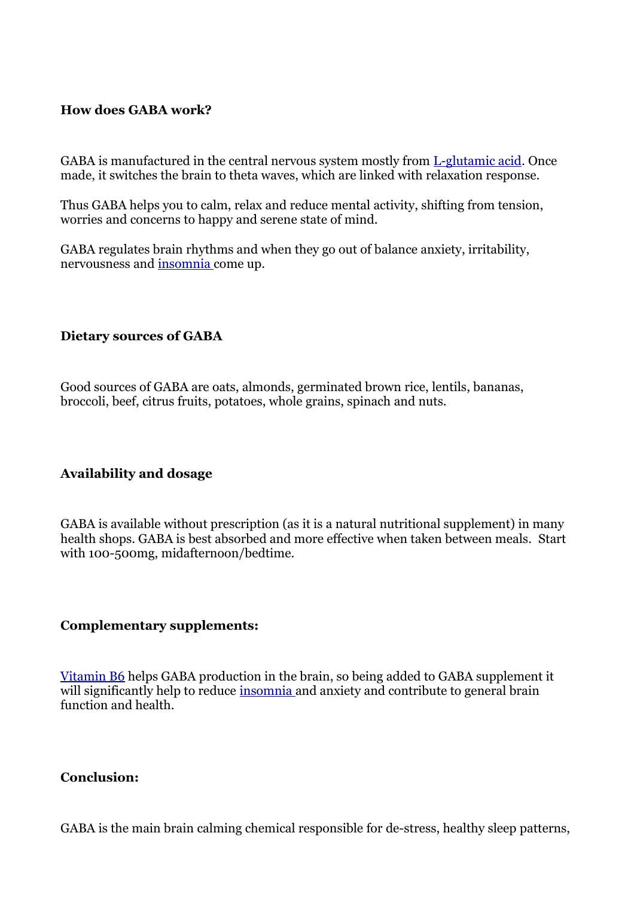## **How does GABA work?**

GABA is manufactured in the central nervous system mostly from [L-glutamic acid.](http://www.insomnia-herbal.com/glutamic-acid.html) Once made, it switches the brain to theta waves, which are linked with relaxation response.

Thus GABA helps you to calm, relax and reduce mental activity, shifting from tension, worries and concerns to happy and serene state of mind.

GABA regulates brain rhythms and when they go out of balance anxiety, irritability, nervousness and [insomnia c](http://www.insomnia-herbal.com/)ome up.

#### **Dietary sources of GABA**

Good sources of GABA are oats, almonds, germinated brown rice, lentils, bananas, broccoli, beef, citrus fruits, potatoes, whole grains, spinach and nuts.

#### **Availability and dosage**

GABA is available without prescription (as it is a natural nutritional supplement) in many health shops. GABA is best absorbed and more effective when taken between meals. Start with 100-500mg, midafternoon/bedtime.

#### **Complementary supplements:**

[Vitamin B6](http://www.insomnia-herbal.com/b-vitamins.html) helps GABA production in the brain, so being added to GABA supplement it will significantly help to reduce [insomnia a](http://www.insomnia-herbal.com/)nd anxiety and contribute to general brain function and health.

#### **Conclusion:**

GABA is the main brain calming chemical responsible for de-stress, healthy sleep patterns,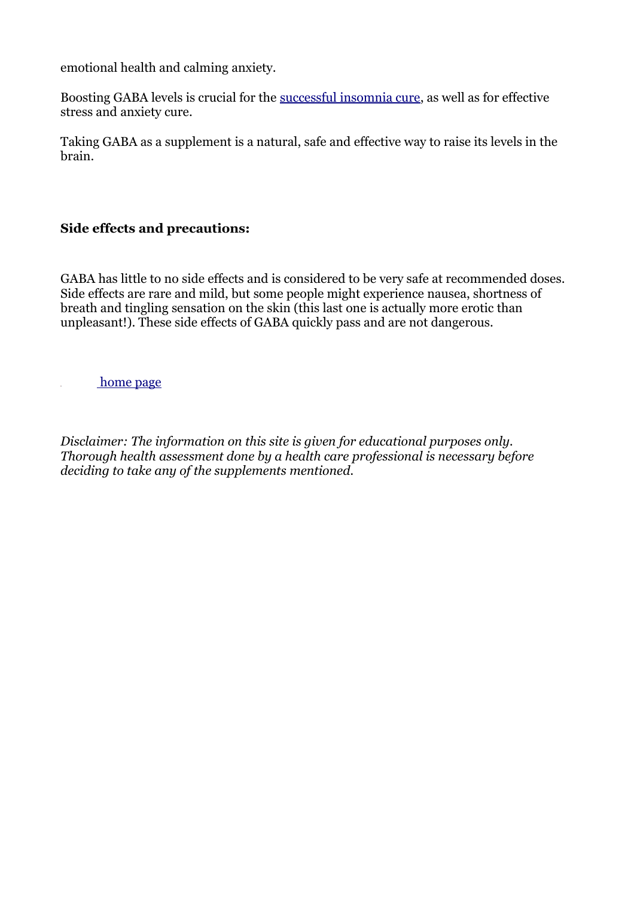emotional health and calming anxiety.

Boosting GABA levels is crucial for the [successful insomnia cure,](http://www.insomnia-herbal.com/) as well as for effective stress and anxiety cure.

Taking GABA as a supplement is a natural, safe and effective way to raise its levels in the brain.

## **Side effects and precautions:**

GABA has little to no side effects and is considered to be very safe at recommended doses. Side effects are rare and mild, but some people might experience nausea, shortness of breath and tingling sensation on the skin (this last one is actually more erotic than unpleasant!). These side effects of GABA quickly pass and are not dangerous.

[home page](http://www.insomnia-herbal.com/)

*Disclaimer: The information on this site is given for educational purposes only. Thorough health assessment done by a health care professional is necessary before deciding to take any of the supplements mentioned.*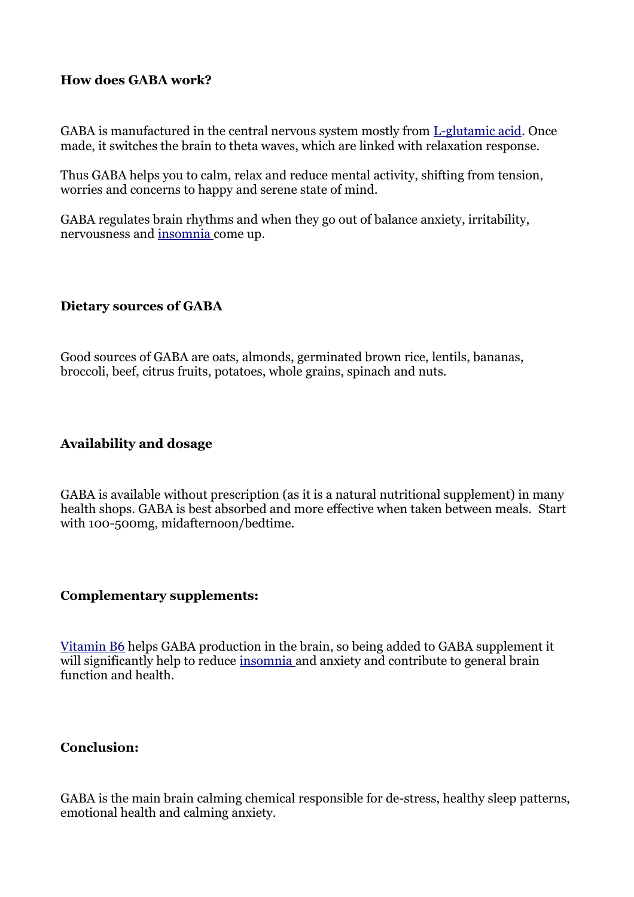## **How does GABA work?**

GABA is manufactured in the central nervous system mostly from [L-glutamic acid.](http://www.insomnia-herbal.com/glutamic-acid.html) Once made, it switches the brain to theta waves, which are linked with relaxation response.

Thus GABA helps you to calm, relax and reduce mental activity, shifting from tension, worries and concerns to happy and serene state of mind.

GABA regulates brain rhythms and when they go out of balance anxiety, irritability, nervousness and [insomnia c](http://www.insomnia-herbal.com/)ome up.

#### **Dietary sources of GABA**

Good sources of GABA are oats, almonds, germinated brown rice, lentils, bananas, broccoli, beef, citrus fruits, potatoes, whole grains, spinach and nuts.

## **Availability and dosage**

GABA is available without prescription (as it is a natural nutritional supplement) in many health shops. GABA is best absorbed and more effective when taken between meals. Start with 100-500mg, midafternoon/bedtime.

#### **Complementary supplements:**

[Vitamin B6](http://www.insomnia-herbal.com/b-vitamins.html) helps GABA production in the brain, so being added to GABA supplement it will significantly help to reduce [insomnia a](http://www.insomnia-herbal.com/)nd anxiety and contribute to general brain function and health.

## **Conclusion:**

GABA is the main brain calming chemical responsible for de-stress, healthy sleep patterns, emotional health and calming anxiety.